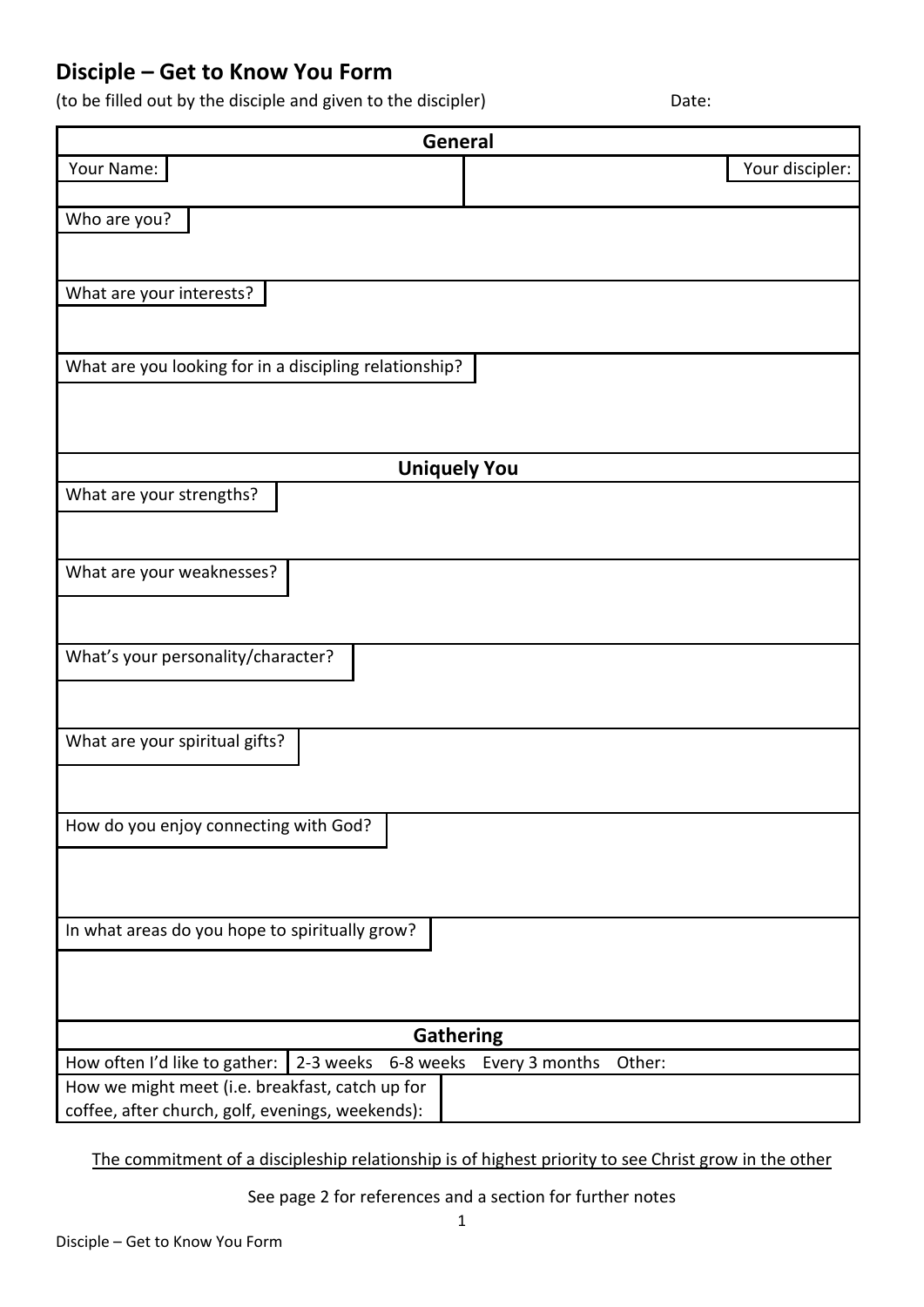## **Disciple – Get to Know You Form**

(to be filled out by the disciple and given to the discipler) Date:

| General                                                |                          |
|--------------------------------------------------------|--------------------------|
| Your Name:                                             | Your discipler:          |
|                                                        |                          |
| Who are you?                                           |                          |
|                                                        |                          |
|                                                        |                          |
| What are your interests?                               |                          |
|                                                        |                          |
| What are you looking for in a discipling relationship? |                          |
|                                                        |                          |
|                                                        |                          |
|                                                        |                          |
| <b>Uniquely You</b>                                    |                          |
| What are your strengths?                               |                          |
|                                                        |                          |
|                                                        |                          |
| What are your weaknesses?                              |                          |
|                                                        |                          |
|                                                        |                          |
| What's your personality/character?                     |                          |
|                                                        |                          |
|                                                        |                          |
| What are your spiritual gifts?                         |                          |
|                                                        |                          |
|                                                        |                          |
| How do you enjoy connecting with God?                  |                          |
|                                                        |                          |
|                                                        |                          |
|                                                        |                          |
| In what areas do you hope to spiritually grow?         |                          |
|                                                        |                          |
|                                                        |                          |
|                                                        |                          |
| <b>Gathering</b>                                       |                          |
| 2-3 weeks 6-8 weeks<br>How often I'd like to gather:   | Every 3 months<br>Other: |
| How we might meet (i.e. breakfast, catch up for        |                          |
| coffee, after church, golf, evenings, weekends):       |                          |

The commitment of a discipleship relationship is of highest priority to see Christ grow in the other

See page 2 for references and a section for further notes